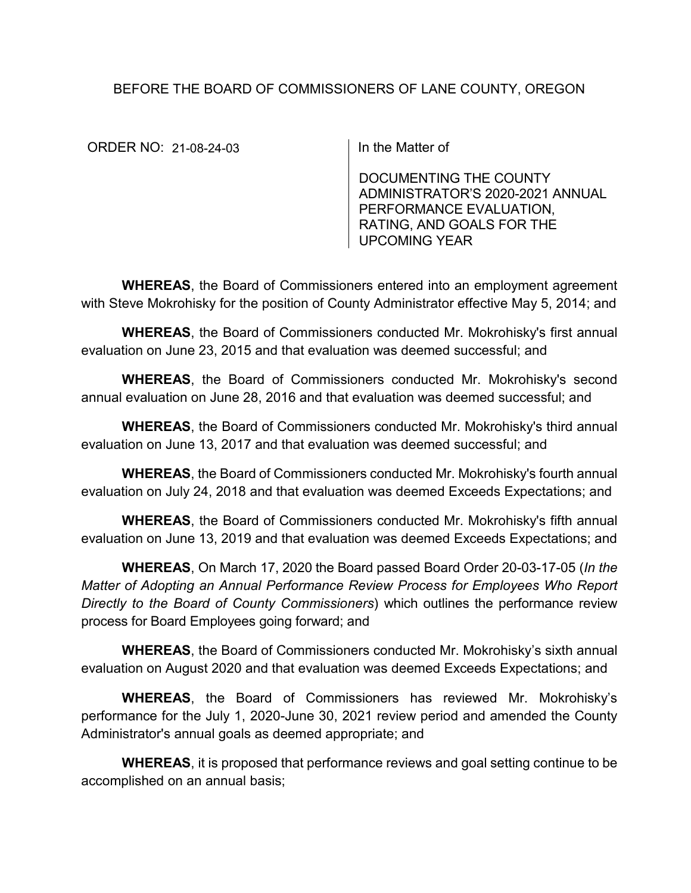## BEFORE THE BOARD OF COMMISSIONERS OF LANE COUNTY, OREGON

ORDER NO: 21-08-24-03 | In the Matter of

DOCUMENTING THE COUNTY ADMINISTRATOR'S 2020-2021 ANNUAL PERFORMANCE EVALUATION, RATING, AND GOALS FOR THE UPCOMING YEAR

**WHEREAS**, the Board of Commissioners entered into an employment agreement with Steve Mokrohisky for the position of County Administrator effective May 5, 2014; and

**WHEREAS**, the Board of Commissioners conducted Mr. Mokrohisky's first annual evaluation on June 23, 2015 and that evaluation was deemed successful; and

**WHEREAS**, the Board of Commissioners conducted Mr. Mokrohisky's second annual evaluation on June 28, 2016 and that evaluation was deemed successful; and

**WHEREAS**, the Board of Commissioners conducted Mr. Mokrohisky's third annual evaluation on June 13, 2017 and that evaluation was deemed successful; and

**WHEREAS**, the Board of Commissioners conducted Mr. Mokrohisky's fourth annual evaluation on July 24, 2018 and that evaluation was deemed Exceeds Expectations; and

**WHEREAS**, the Board of Commissioners conducted Mr. Mokrohisky's fifth annual evaluation on June 13, 2019 and that evaluation was deemed Exceeds Expectations; and

**WHEREAS**, On March 17, 2020 the Board passed Board Order 20-03-17-05 (*In the Matter of Adopting an Annual Performance Review Process for Employees Who Report Directly to the Board of County Commissioners*) which outlines the performance review process for Board Employees going forward; and

**WHEREAS**, the Board of Commissioners conducted Mr. Mokrohisky's sixth annual evaluation on August 2020 and that evaluation was deemed Exceeds Expectations; and

**WHEREAS**, the Board of Commissioners has reviewed Mr. Mokrohisky's performance for the July 1, 2020-June 30, 2021 review period and amended the County Administrator's annual goals as deemed appropriate; and

**WHEREAS**, it is proposed that performance reviews and goal setting continue to be accomplished on an annual basis;